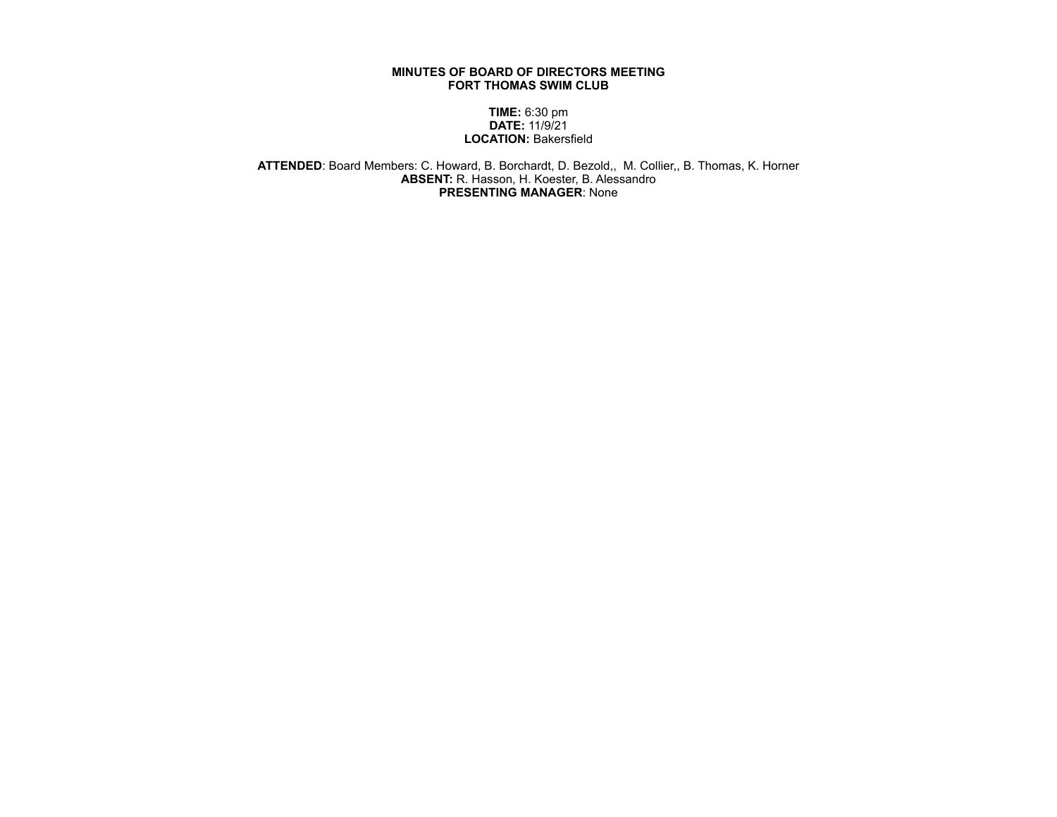## **MINUTES OF BOARD OF DIRECTORS MEETING FORT THOMAS SWIM CLUB**

## **TIME:** 6:30 pm **DATE:** 11/9/21 **LOCATION:** Bakersfield

**ATTENDED**: Board Members: C. Howard, B. Borchardt, D. Bezold,, M. Collier,, B. Thomas, K. Horner **ABSENT:** R. Hasson, H. Koester, B. Alessandro **PRESENTING MANAGER**: None